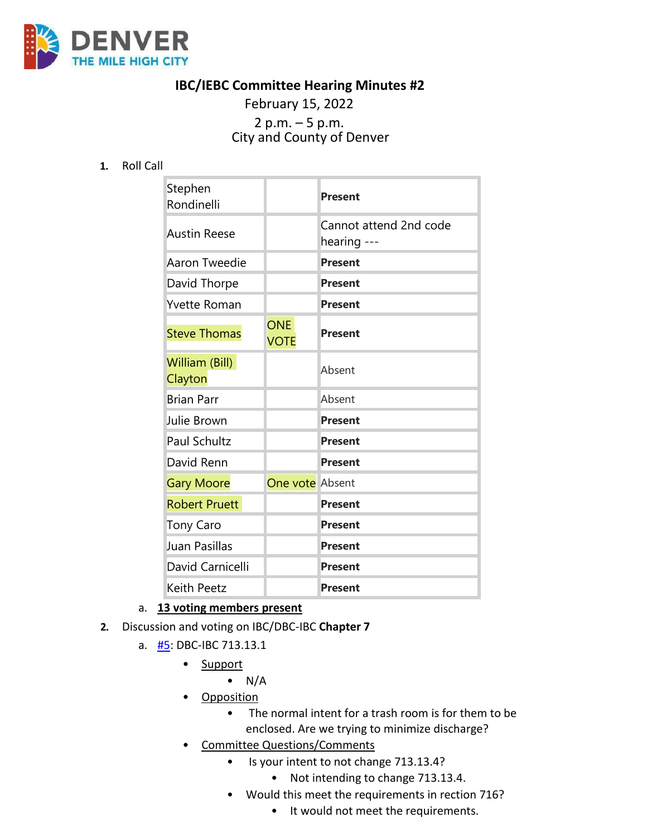

## **IBC/IEBC Committee Hearing Minutes #2**

February 15, 2022 <sup>2</sup> p.m. – <sup>5</sup> p.m. City and County of Denver

**1.** Roll Call

| Stephen<br>Rondinelli     |                           | <b>Present</b>                        |
|---------------------------|---------------------------|---------------------------------------|
| <b>Austin Reese</b>       |                           | Cannot attend 2nd code<br>hearing --- |
| Aaron Tweedie             |                           | <b>Present</b>                        |
| David Thorpe              |                           | <b>Present</b>                        |
| Yvette Roman              |                           | <b>Present</b>                        |
| <b>Steve Thomas</b>       | <b>ONE</b><br><b>VOTE</b> | <b>Present</b>                        |
| William (Bill)<br>Clayton |                           | Absent                                |
| <b>Brian Parr</b>         |                           | Absent                                |
| Julie Brown               |                           | <b>Present</b>                        |
| <b>Paul Schultz</b>       |                           | <b>Present</b>                        |
| David Renn                |                           | <b>Present</b>                        |
| <b>Gary Moore</b>         | One vote Absent           |                                       |
| <b>Robert Pruett</b>      |                           | <b>Present</b>                        |
| <b>Tony Caro</b>          |                           | <b>Present</b>                        |
| Juan Pasillas             |                           | <b>Present</b>                        |
| David Carnicelli          |                           | <b>Present</b>                        |
| Keith Peetz               |                           | <b>Present</b>                        |

### a. **13 voting members present**

- **2.** Discussion and voting on IBC/DBC-IBC **Chapter 7**
	- a. [#5:](https://www.denvergov.org/files/assets/public/community-planning-and-development/documents/ds/building-codes/code-adoption/amendment-proposals/ibc/ibc_713.13.1.pdf) DBC-IBC 713.13.1
		- Support
			- $\bullet$  N/A
		- Opposition
			- The normal intent for a trash room is for them to be enclosed. Are we trying to minimize discharge?
		- Committee Questions/Comments
			- Is your intent to not change 713.13.4?
				- Not intending to change 713.13.4.
			- Would this meet the requirements in rection 716?
				- It would not meet the requirements.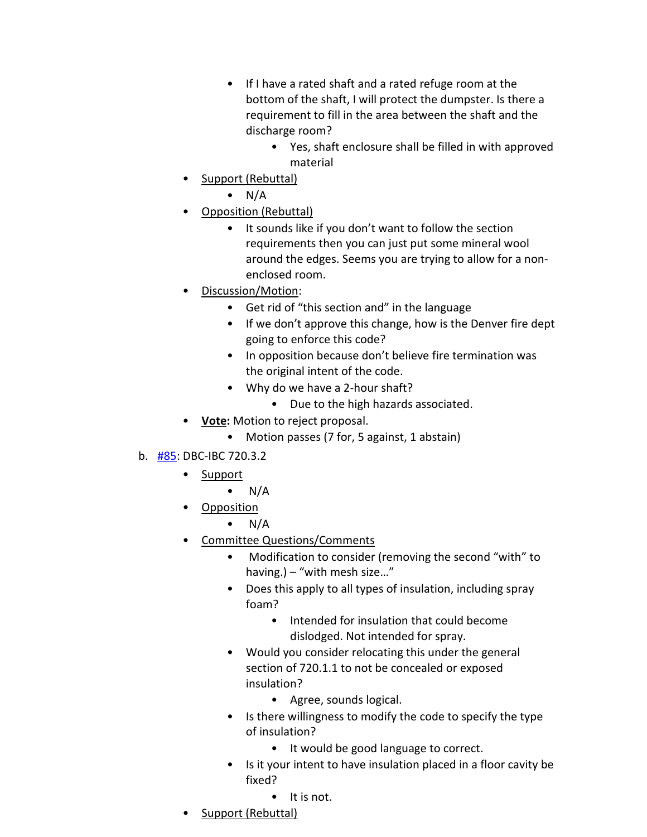- If I have a rated shaft and a rated refuge room at the bottom of the shaft, I will protect the dumpster. Is there a requirement to fill in the area between the shaft and the discharge room?
	- Yes, shaft enclosure shall be filled in with approved material
- Support (Rebuttal)
	- $\bullet$  N/A
- Opposition (Rebuttal)
	- It sounds like if you don't want to follow the section requirements then you can just put some mineral wool around the edges. Seems you are trying to allow for a nonenclosed room.
- Discussion/Motion:
	- Get rid of "this section and" in the language
	- If we don't approve this change, how is the Denver fire dept going to enforce this code?
	- In opposition because don't believe fire termination was the original intent of the code.
	- Why do we have a 2-hour shaft?
		- Due to the high hazards associated.
- **Vote:** Motion to reject proposal.
	- Motion passes (7 for, 5 against, 1 abstain)
- b. [#85:](https://www.denvergov.org/files/assets/public/community-planning-and-development/documents/ds/building-codes/code-adoption/amendment-proposals/ibc/ibc_720.3.2.pdf) DBC-IBC 720.3.2
	- Support
		- $\bullet$  N/A
	- Opposition
		- $N/A$
	- Committee Questions/Comments
		- Modification to consider (removing the second "with" to having.) – "with mesh size…"
		- Does this apply to all types of insulation, including spray foam?
			- Intended for insulation that could become dislodged. Not intended for spray.
		- Would you consider relocating this under the general section of 720.1.1 to not be concealed or exposed insulation?
			- Agree, sounds logical.
		- Is there willingness to modify the code to specify the type of insulation?
			- It would be good language to correct.
		- Is it your intent to have insulation placed in a floor cavity be fixed?
			- It is not.
	- Support (Rebuttal)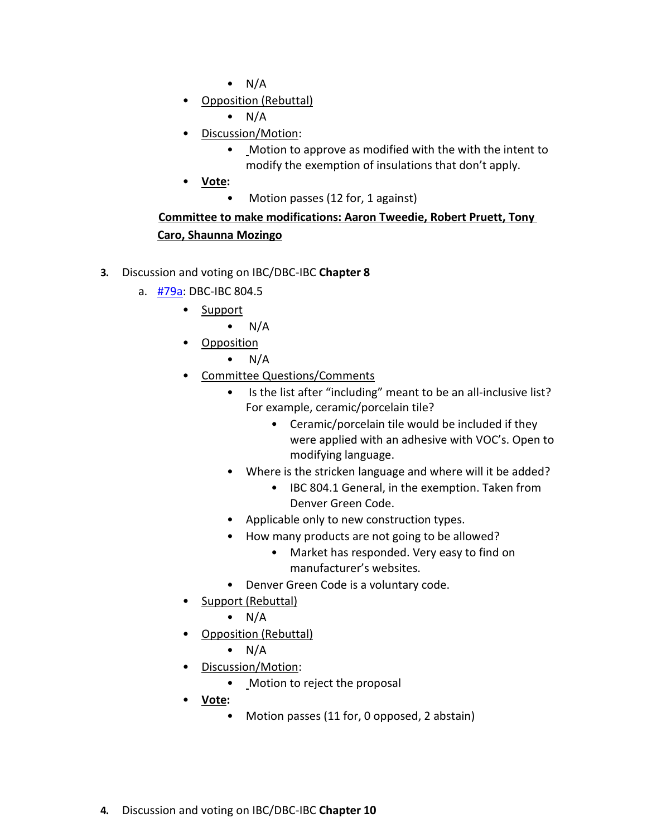- $\bullet$  N/A
- Opposition (Rebuttal)
	- $\bullet$  N/A
- Discussion/Motion:
	- Motion to approve as modified with the with the intent to modify the exemption of insulations that don't apply.
- **Vote:**
	- Motion passes (12 for, 1 against)

# **Committee to make modifications: Aaron Tweedie, Robert Pruett, Tony Caro, Shaunna Mozingo**

- **3.** Discussion and voting on IBC/DBC-IBC **Chapter 8**
	- a. [#79a:](https://www.denvergov.org/files/assets/public/community-planning-and-development/documents/ds/building-codes/code-adoption/amendment-proposals/ibc/ibc_proposal-79a.pdf) DBC-IBC 804.5
		- Support
			- $\bullet$  N/A
		- **Opposition** 
			- $N/A$
		- Committee Questions/Comments
			- Is the list after "including" meant to be an all-inclusive list? For example, ceramic/porcelain tile?
				- Ceramic/porcelain tile would be included if they were applied with an adhesive with VOC's. Open to modifying language.
			- Where is the stricken language and where will it be added?
				- IBC 804.1 General, in the exemption. Taken from Denver Green Code.
			- Applicable only to new construction types.
			- How many products are not going to be allowed?
				- Market has responded. Very easy to find on manufacturer's websites.
			- Denver Green Code is a voluntary code.
		- Support (Rebuttal)
			- $\bullet$  N/A
		- Opposition (Rebuttal)
			- $\bullet$  N/A
		- Discussion/Motion:
			- Motion to reject the proposal
		- **Vote:**
			- Motion passes (11 for, 0 opposed, 2 abstain)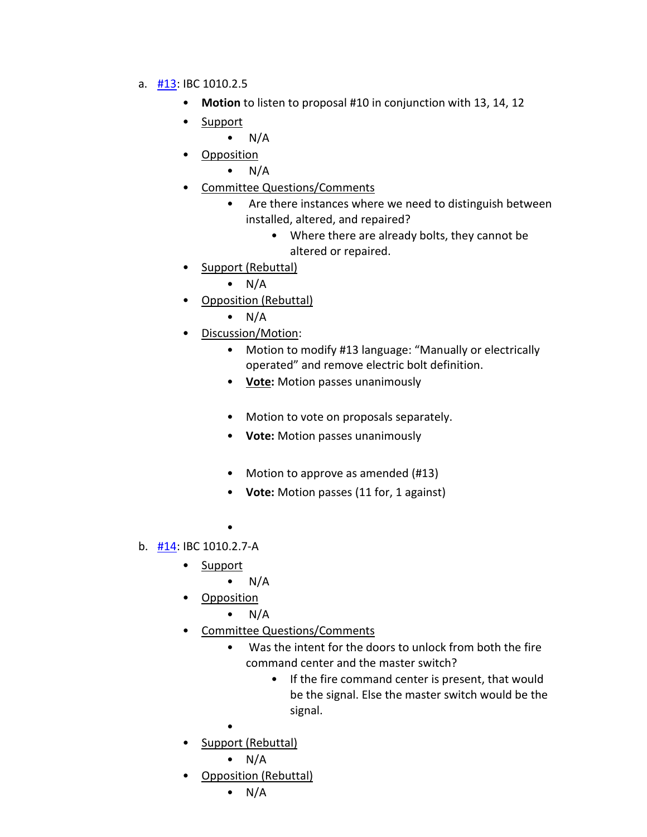- a. [#13:](https://www.denvergov.org/files/assets/public/community-planning-and-development/documents/ds/building-codes/code-adoption/amendment-proposals/ibc/ibc-1010.2.5.pdf) IBC 1010.2.5
	- **Motion** to listen to proposal #10 in conjunction with 13, 14, 12
	- Support

 $\bullet$  N/A

• Opposition

 $\bullet$  N/A

- Committee Questions/Comments
	- Are there instances where we need to distinguish between installed, altered, and repaired?
		- Where there are already bolts, they cannot be altered or repaired.
- Support (Rebuttal)
	- $\bullet$  N/A
- Opposition (Rebuttal)
	- $\bullet$  N/A
- Discussion/Motion:
	- Motion to modify #13 language: "Manually or electrically operated" and remove electric bolt definition.
	- **Vote:** Motion passes unanimously
	- Motion to vote on proposals separately.
	- **Vote:** Motion passes unanimously
	- Motion to approve as amended (#13)
	- **Vote:** Motion passes (11 for, 1 against)
	- •
- b. [#14:](https://www.denvergov.org/files/assets/public/community-planning-and-development/documents/ds/building-codes/code-adoption/amendment-proposals/ibc/ibc_1010.2.7-a.pdf) IBC 1010.2.7-A
	- Support
		- $\bullet$  N/A
	- Opposition
		- $\bullet$  N/A
	- Committee Questions/Comments
		- Was the intent for the doors to unlock from both the fire command center and the master switch?
			- If the fire command center is present, that would be the signal. Else the master switch would be the signal.
		- •
	- Support (Rebuttal)
		- $\bullet$  N/A
	- Opposition (Rebuttal)

 $\bullet$  N/A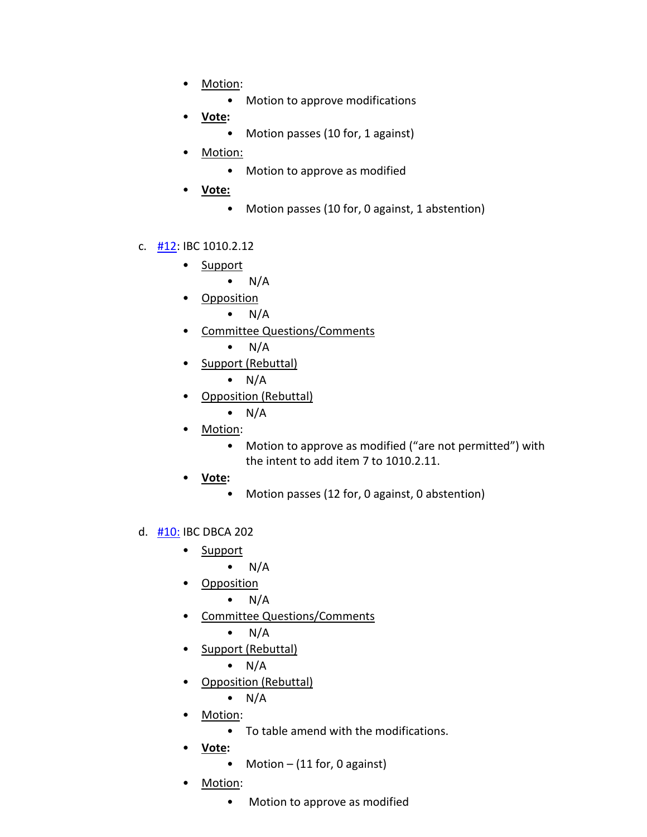- Motion:
	- Motion to approve modifications
- **Vote:**
	- Motion passes (10 for, 1 against)
- Motion:
	- Motion to approve as modified
- **Vote:**
	- Motion passes (10 for, 0 against, 1 abstention)

#### c.  $\frac{112}{10}$ : IBC 1010.2.12

- Support
	- $\bullet$  N/A
- Opposition
	- $\bullet$  N/A
- Committee Questions/Comments

 $\bullet$  N/A

• Support (Rebuttal)

$$
\bullet
$$
 N/A

- Opposition (Rebuttal)
	- $\bullet$  N/A
- Motion:
	- Motion to approve as modified ("are not permitted") with the intent to add item 7 to 1010.2.11.
- **Vote:**
	- Motion passes (12 for, 0 against, 0 abstention)
- d. [#10:](https://www.denvergov.org/files/assets/public/community-planning-and-development/documents/ds/building-codes/code-adoption/amendment-proposals/ibc/ibc_dbca_202.pdf) IBC DBCA 202
	- Support
		- $\bullet$  N/A
	- Opposition
		- $\bullet$  N/A
	- Committee Questions/Comments
		- $\bullet$  N/A
	- Support (Rebuttal)

 $\bullet$  N/A

- Opposition (Rebuttal)
	- $\bullet$  N/A
- Motion:
	- To table amend with the modifications.
- **Vote:**
	- Motion (11 for, 0 against)
- Motion:
	- Motion to approve as modified